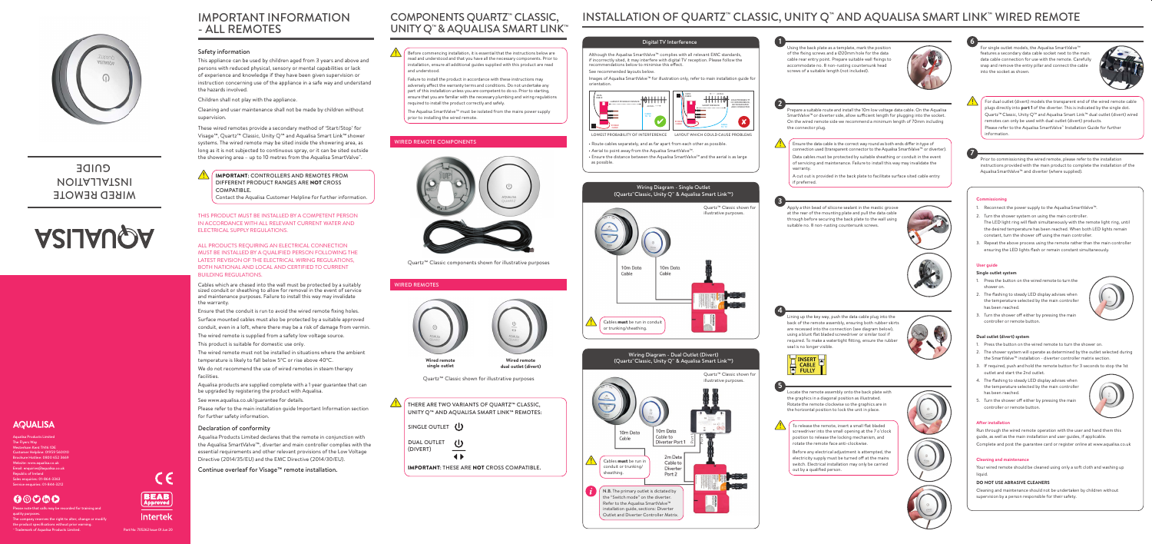

### **MIKED KEWOLE** INSTALLATION **GUIDE**

# **ASIJAUQA**

### **AQUALISA**

Quartz™ Classic components shown for illustrative purposes

### COMPONENTS QUARTZ™ CLASSIC, UNITY Q™ & AQUALISA SMART LINK™

IMPORTANT INFORMATION - ALL REMOTES

# INSTALLATION OF QUARTZ™ CLASSIC, UNITY Q™ AND AQUALISA SMART LINK™ WIRED REMOTE

Prepare a suitable route and install the 10m low voltage data cable. On the Aqualisa SmartValve™or diverter side, allow sufficient length for plugging into the socket. On the wired remote side we recommend a minimum length of 70mm including

Lining up the key way, push the data cable plug into the back of the remote assembly, ensuring both rubber skirts are recessed into the connection (see diagram below), using a blunt flat bladed screwdriver or similar tool if required. To make a watertight fitting, ensure the rubbe



Using the back plate as a template, mark the position of the fixing screws and a Ø20mm hole for the data cable rear entry point. Prepare suitable wall fixings to accommodate no. 8 non-rusting countersunk head screws of a suitable length (not included).



For single outlet models, the Aqualisa SmartValve<sup>™</sup> features a secondary data cable socket next to the main data cable connection for use with the remote. Carefully snap and remove the entry pillar and connect the cable into the socket as shown.



Apply a thin bead of silicone sealant in the mastic groove at the rear of the mounting plate and pull the data cable through before securing the back plate to the wall using suitable no. 8 non-rusting countersunk screws.











Prior to commissioning the wired remote, please refer to the installation instructions provided with the main product to complete the installation of the Aqualisa SmartValve™ and diverter (where supplied).

# WIRED REMOTES **Wired remote single outlet Wired remote dual outlet (divert)**

Quartz<sup>™</sup> Classic shown for illustrative purposes

### Safety information

This appliance can be used by children aged from 3 years and above and persons with reduced physical, sensory or mental capabilities or lack of experience and knowledge if they have been given supervision or instruction concerning use of the appliance in a safe way and understand the hazards involved.

Children shall not play with the appliance.

Cleaning and user maintenance shall not be made by children without supervision.

These wired remotes provide a secondary method of 'Start/Stop' for Visage™, Quartz™ Classic, Unity Q™ and Aqualisa Smart Link™shower systems. The wired remote may be sited inside the showering area, as long as it is not subjected to continuous spray, or it can be sited outside the showering area – up to 10 metres from the Aqualisa SmartValve™.

### WIRED REMOTE COMPONENTS



- 1. Reconnect the power supply to the Aqualisa SmartValve™.
- 2. Turn the shower system on using the main controller. The LED light ring will flash simultaneously with the remote light ring, until the desired temperature has been reached. When both LED lights remain constant, turn the shower off using the main controller.
- Repeat the above process using the remote rather than the main controller ensuring the LED lights flash or remain constant simultaneously.

### **User guide**

### **Single outlet system**

- 1. Press the button on the wired remote to turn the shower on.
- 2. The flashing to steady LED display advises when the temperature selected by the main controller has been reached.
- Turn the shower off either by pressing the main controller or remote button.

### **Dual outlet (divert) system**

- 1. Press the button on the wired remote to turn the shower on.
- 2. The shower system will operate as determined by the outlet selected during the SmartValve™ installation - diverter controller matrix section.
- 3. If required, push and hold the remote button for 3 seconds to stop the 1st outlet and start the 2nd outlet.
- 4. The flashing to steady LED display advises when the temperature selected by the main controller has been reached.
- 5. Turn the shower off either by pressing the main controller or remote button.



### **After installation**

Run through the wired remote operation with the user and hand them this guide, as well as the main installation and user guides, if applicable. Complete and post the guarantee card or register online at www.aqualisa.co.uk

**Cleaning and maintenance**

Your wired remote should be cleaned using only a soft cloth and washing up liquid.

### **DO NOT USE ABRASIVE CLEANERS**

Cleaning and maintenance should not be undertaken by children without supervision by a person responsible for their safety.

Before commencing installation, it is essential that the instructions below are read and understood and that you have all the necessary components. Prior to installation, ensure all additional guides supplied with this product are read and understood.

Failure to install the product in accordance with these instructions may adversely affect the warranty terms and conditions. Do not undertake any part of this installation unless you are competent to do so. Prior to starting, ensure that you are familiar with the necessary plumbing and wiring regulations required to install the product correctly and safely.

Please note that calls may be recorded for training and quality purposes. The company reserves the right to alter, change or modify the product specifications without prior warning. Trademark of Aqualisa Products Limited.



The Aqualisa SmartValve™ must be isolated from the mains power supply prior to installing the wired remote.

IMPORTANT: CONTROLLERS AND REMOTES FROM DIFFERENT PRODUCT RANGES ARE NOT CROSS COMPATIBLE.

Contact the Aqualisa Customer Helpline for further information.

THIS PRODUCT MUST BE INSTALLED BY A COMPETENT PERSON IN ACCORDANCE WITH ALL RELEVANT CURRENT WATER AND ELECTRICAL SUPPLY REGULATIONS.

ALL PRODUCTS REQUIRING AN ELECTRICAL CONNECTION MUST BE INSTALLED BY A QUALIFIED PERSON FOLLOWING THE LATEST REVISION OF THE ELECTRICAL WIRING REGULATIONS, BOTH NATIONAL AND LOCAL AND CERTIFIED TO CURRENT BUILDING REGULATIONS.

Cables which are chased into the wall must be protected by a suitably sized conduit or sheathing to allow for removal in the event of service and maintenance purposes. Failure to install this way may invalidate the warranty.

Ensure that the conduit is run to avoid the wired remote fixing holes.

Surface mounted cables must also be protected by a suitable approved conduit, even in a loft, where there may be a risk of damage from vermin.

The wired remote is supplied from a safety low voltage source.

This product is suitable for domestic use only.

The wired remote must not be installed in situations where the ambient temperature is likely to fall below 5ºC or rise above 40ºC.

We do not recommend the use of wired remotes in steam therapy facilities.

Aqualisa products are supplied complete with a 1 year guarantee that can be upgraded by registering the product with Aqualisa.

See www.aqualisa.co.uk/guarantee for details.

Please refer to the main installation guide Important Information section for further safety information.

### Declaration of conformity

Aqualisa Products Limited declares that the remote in conjunction with the Aqualisa SmartValve™, diverter and main controller complies with the essential requirements and other relevant provisions of the Low Voltage Directive (2014/35/EU) and the EMC Directive (2014/30/EU).

Continue overleaf for Visage™ remote installation.



THERE ARE TWO VARIANTS OF QUARTZ™ CLASSIC, UNITY Q™ AND AQUALISA SMART LINK™ REMOTES:

IMPORTANT: THESE ARE NOT CROSS COMPATIBLE.



For dual outlet (divert) models the transparent end of the wired remote cable plugs directly into **port 1** of the diverter. This is indicated by the single dot. Quartz™Classic, Unity Q™ and Aqualisa Smart Link™ dual outlet (divert) wired remotes can only be used with dual outlet (divert) products. Please refer to the Aqualisa SmartValve™ Installation Guide for further information.

To release the remote, insert a small flat bladed screwdriver into the small opening at the 7 o'clock position to release the locking mechanism, and rotate the remote face anti-clockwise.

Before any electrical adjustment is attempted, the electricity supply must be turned off at the mains switch. Electrical installation may only be carried



Ensure the data cable is the correct way round as both ends differ in type of connection used (transparent connector to the Aqualisa SmartValve™ or diverter). Data cables must be protected by suitable sheathing or conduit in the event of servicing and maintenance. Failure to install this way may invalidate the

A cut out is provided in the back plate to facilitate surface sited cable entry

Aqualisa Products Limited The Flyers Way Westerham Kent TN16 1DE Customer Helpline: 01959 560010 Brochure Hotline: 0800 652 3669 Website: www.aqualisa.co.uk Email: enquiries@aqualisa.co.uk Republic of Ireland Sales enquiries: 01-864-3363 Service enquiries: 01-844-3212

### O®O®O

Part No: 705262 Issue 01 Jun 20

CE

BEAB

Approved

**Intertek**